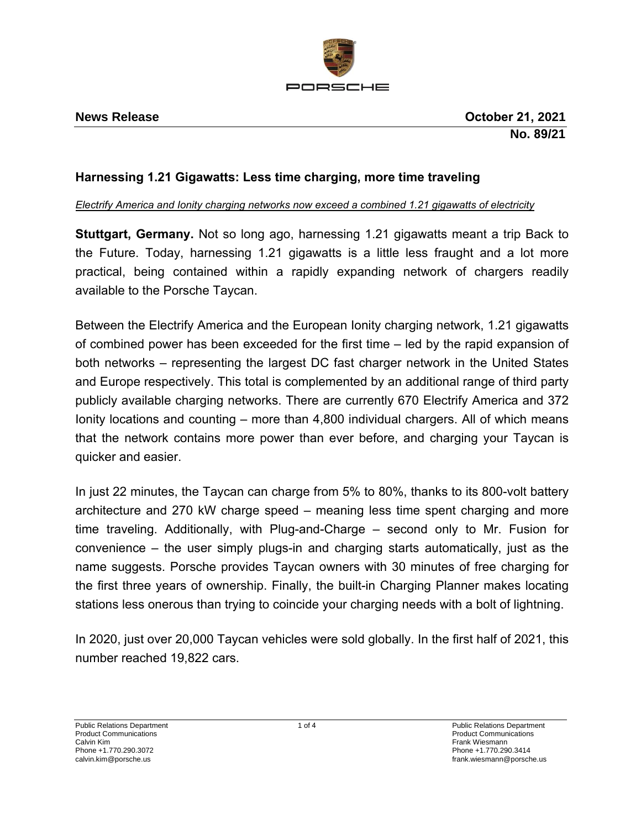

# **Harnessing 1.21 Gigawatts: Less time charging, more time traveling**

## *Electrify America and Ionity charging networks now exceed a combined 1.21 gigawatts of electricity*

**Stuttgart, Germany.** Not so long ago, harnessing 1.21 gigawatts meant a trip Back to the Future. Today, harnessing 1.21 gigawatts is a little less fraught and a lot more practical, being contained within a rapidly expanding network of chargers readily available to the Porsche Taycan.

Between the Electrify America and the European Ionity charging network, 1.21 gigawatts of combined power has been exceeded for the first time – led by the rapid expansion of both networks – representing the largest DC fast charger network in the United States and Europe respectively. This total is complemented by an additional range of third party publicly available charging networks. There are currently 670 Electrify America and 372 Ionity locations and counting – more than 4,800 individual chargers. All of which means that the network contains more power than ever before, and charging your Taycan is quicker and easier.

In just 22 minutes, the Taycan can charge from 5% to 80%, thanks to its 800-volt battery architecture and 270 kW charge speed – meaning less time spent charging and more time traveling. Additionally, with Plug-and-Charge – second only to Mr. Fusion for convenience – the user simply plugs-in and charging starts automatically, just as the name suggests. Porsche provides Taycan owners with 30 minutes of free charging for the first three years of ownership. Finally, the built-in Charging Planner makes locating stations less onerous than trying to coincide your charging needs with a bolt of lightning.

In 2020, just over 20,000 Taycan vehicles were sold globally. In the first half of 2021, this number reached 19,822 cars.